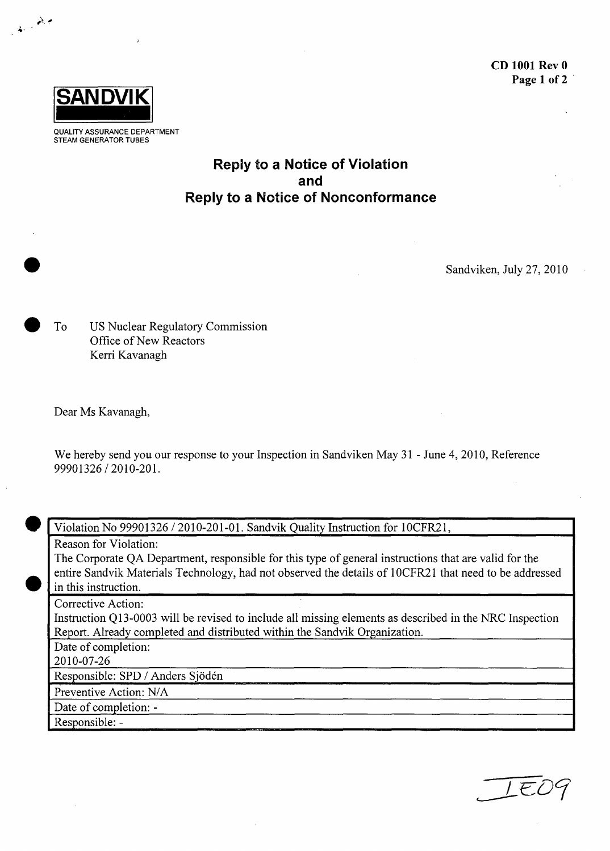

e.., **,o**

**QUALITY ASSURANCE** DEPARTMENT **STEAM** GENERATOR **TUBES**

## Reply to a Notice of Violation and Reply to a Notice of Nonconformance

Sandviken, July 27, 2010

To US Nuclear Regulatory Commission Office of New Reactors Kerri Kavanagh

Dear Ms Kavanagh,

We hereby send you our response to your Inspection in Sandviken May 31 - June 4, 2010, Reference 99901326 / 2010-201.

**0**

Violation No 99901326 / 2010-201-01. Sandvik Quality Instruction for 10CFR21,

Reason for Violation:

The Corporate QA Department, responsible for this type of general instructions that are valid for the entire Sandvik Materials Technology, had not observed the details of 1 OCFR21 that need to be addressed in this instruction.

Corrective Action:

Instruction Q13-0003 will be revised to include all missing elements as described in the NRC Inspection Report. Already completed and distributed within the Sandvik Organization.

Date of completion:

2010-07-26

Responsible: SPD / Anders Sjödén

Preventive Action: N/A

Date of completion: -

Responsible: -